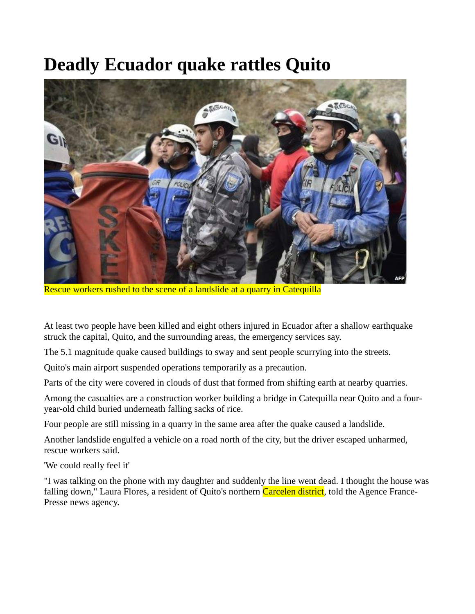## **Deadly Ecuador quake rattles Quito**



Rescue workers rushed to the scene of a landslide at a quarry in Catequilla

At least two people have been killed and eight others injured in Ecuador after a shallow earthquake struck the capital, Quito, and the surrounding areas, the emergency services say.

The 5.1 magnitude quake caused buildings to sway and sent people scurrying into the streets.

Quito's main airport suspended operations temporarily as a precaution.

Parts of the city were covered in clouds of dust that formed from shifting earth at nearby quarries.

Among the casualties are a construction worker building a bridge in Catequilla near Quito and a fouryear-old child buried underneath falling sacks of rice.

Four people are still missing in a quarry in the same area after the quake caused a landslide.

Another landslide engulfed a vehicle on a road north of the city, but the driver escaped unharmed, rescue workers said.

'We could really feel it'

"I was talking on the phone with my daughter and suddenly the line went dead. I thought the house was falling down," Laura Flores, a resident of Quito's northern Carcelen district, told the Agence France-Presse news agency.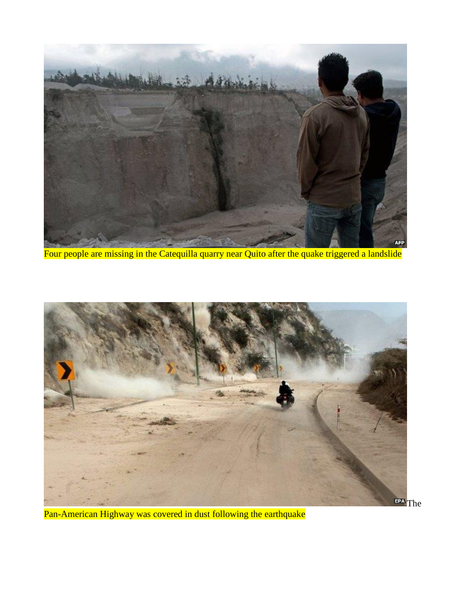

Four people are missing in the Catequilla quarry near Quito after the quake triggered a landslide



Pan-American Highway was covered in dust following the earthquake